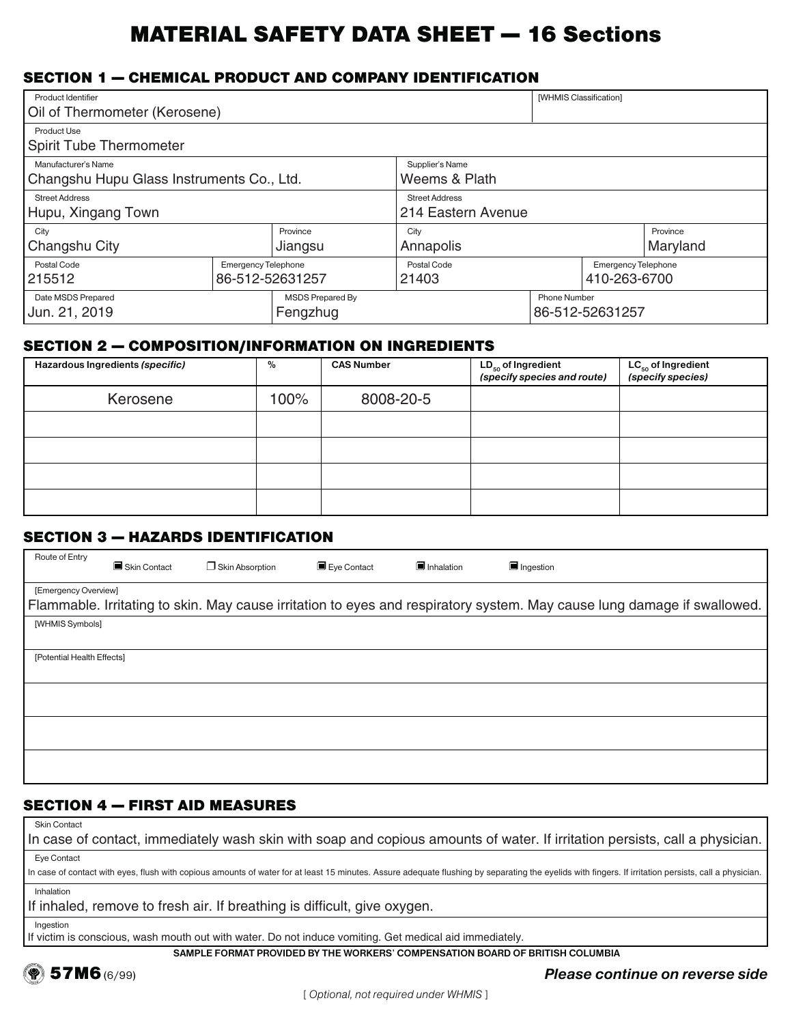# MATERIAL SAFETY DATA SHEET — 16 Sections

# SECTION 1 — CHEMICAL PRODUCT AND COMPANY IDENTIFICATION

| Product Identifier                            |                            |                       |                                           | [WHMIS Classification] |          |  |
|-----------------------------------------------|----------------------------|-----------------------|-------------------------------------------|------------------------|----------|--|
| Oil of Thermometer (Kerosene)                 |                            |                       |                                           |                        |          |  |
| Product Use                                   |                            |                       |                                           |                        |          |  |
| Spirit Tube Thermometer                       |                            |                       |                                           |                        |          |  |
| Manufacturer's Name                           |                            |                       | Supplier's Name                           |                        |          |  |
| Changshu Hupu Glass Instruments Co., Ltd.     |                            | Weems & Plath         |                                           |                        |          |  |
| <b>Street Address</b>                         |                            | <b>Street Address</b> |                                           |                        |          |  |
| Hupu, Xingang Town                            |                            | 214 Eastern Avenue    |                                           |                        |          |  |
| Province<br>City                              |                            | City                  |                                           |                        | Province |  |
| Changshu City<br>Jiangsu                      |                            | Annapolis             |                                           | Maryland               |          |  |
| Postal Code                                   | <b>Emergency Telephone</b> |                       | Postal Code<br><b>Emergency Telephone</b> |                        |          |  |
| 215512                                        | 86-512-52631257            |                       | 21403<br>410-263-6700                     |                        |          |  |
| Date MSDS Prepared<br><b>MSDS Prepared By</b> |                            |                       | <b>Phone Number</b>                       |                        |          |  |
| Jun. 21, 2019<br>Fengzhug                     |                            |                       |                                           | 86-512-52631257        |          |  |

#### SECTION 2 — COMPOSITION/INFORMATION ON INGREDIENTS

| Hazardous Ingredients (specific) | $\%$ | <b>CAS Number</b> | $LD_{50}$ of Ingredient<br>(specify species and route) | $LC_{50}$ of Ingredient<br>(specify species) |
|----------------------------------|------|-------------------|--------------------------------------------------------|----------------------------------------------|
| Kerosene                         | 100% | 8008-20-5         |                                                        |                                              |
|                                  |      |                   |                                                        |                                              |
|                                  |      |                   |                                                        |                                              |
|                                  |      |                   |                                                        |                                              |
|                                  |      |                   |                                                        |                                              |

# SECTION 3 — HAZARDS IDENTIFICATION

| Route of Entry             | Skin Contact | $\Box$ Skin Absorption | Eye Contact | Inhalation | Ingestion                                                                                                               |  |
|----------------------------|--------------|------------------------|-------------|------------|-------------------------------------------------------------------------------------------------------------------------|--|
| [Emergency Overview]       |              |                        |             |            |                                                                                                                         |  |
|                            |              |                        |             |            | Flammable. Irritating to skin. May cause irritation to eyes and respiratory system. May cause lung damage if swallowed. |  |
| [WHMIS Symbols]            |              |                        |             |            |                                                                                                                         |  |
|                            |              |                        |             |            |                                                                                                                         |  |
| [Potential Health Effects] |              |                        |             |            |                                                                                                                         |  |
|                            |              |                        |             |            |                                                                                                                         |  |
|                            |              |                        |             |            |                                                                                                                         |  |
|                            |              |                        |             |            |                                                                                                                         |  |
|                            |              |                        |             |            |                                                                                                                         |  |
|                            |              |                        |             |            |                                                                                                                         |  |
|                            |              |                        |             |            |                                                                                                                         |  |
|                            |              |                        |             |            |                                                                                                                         |  |

# SECTION 4 — FIRST AID MEASURES

Skin Contact

Eye Contact In case of contact, immediately wash skin with soap and copious amounts of water. If irritation persists, call a physician.

Inhalation In case of contact with eyes, flush with copious amounts of water for at least 15 minutes. Assure adequate flushing by separating the eyelids with fingers. If irritation persists, call a physician.

If inhaled, remove to fresh air. If breathing is difficult, give oxygen.

Ingestion

If victim is conscious, wash mouth out with water. Do not induce vomiting. Get medical aid immediately.

SAMPLE FORMAT PROVIDED BY THE WORKERS' COMPENSATION BOARD OF BRITISH COLUMBIA



 $\bullet$  57M6 (6/99)  $\bullet$  57M6 (6/99)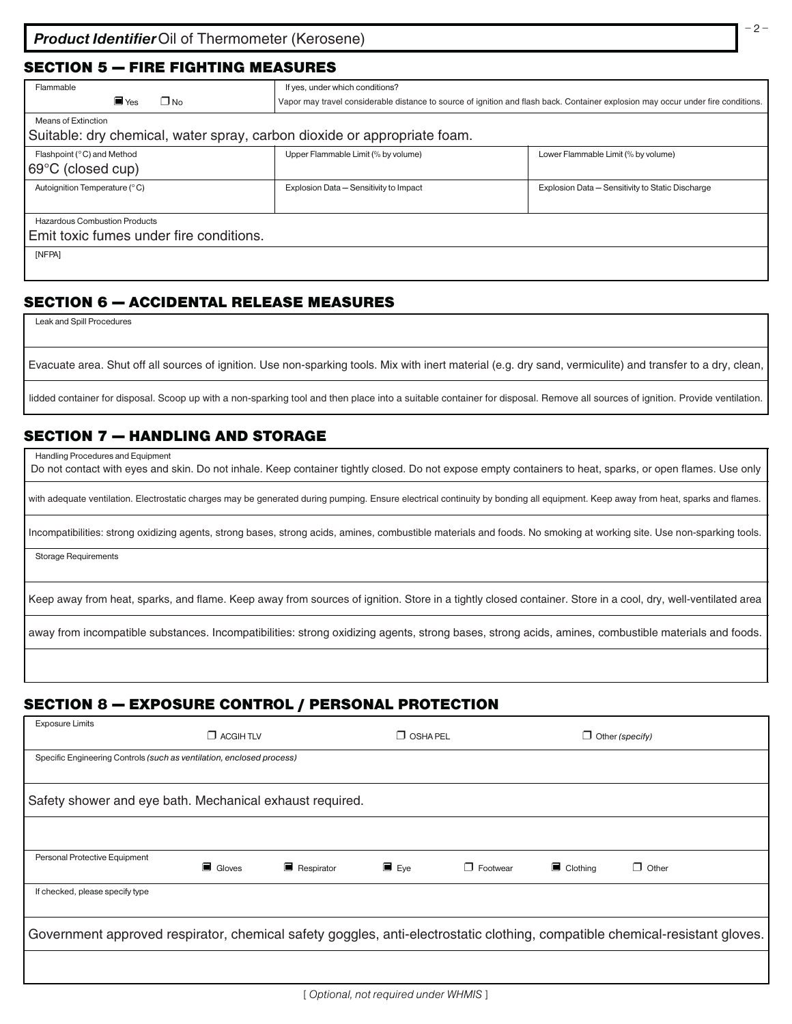#### SECTION 5 — FIRE FIGHTING MEASURES

| Flammable                                                                | If yes, under which conditions?                                                                                                   |                                                  |  |
|--------------------------------------------------------------------------|-----------------------------------------------------------------------------------------------------------------------------------|--------------------------------------------------|--|
| $\blacksquare$ Yes<br>ΠNo                                                | Vapor may travel considerable distance to source of ignition and flash back. Container explosion may occur under fire conditions. |                                                  |  |
| Means of Extinction                                                      |                                                                                                                                   |                                                  |  |
| Suitable: dry chemical, water spray, carbon dioxide or appropriate foam. |                                                                                                                                   |                                                  |  |
| Flashpoint (°C) and Method                                               | Upper Flammable Limit (% by volume)                                                                                               | Lower Flammable Limit (% by volume)              |  |
| $ 69^{\circ}$ C (closed cup)                                             |                                                                                                                                   |                                                  |  |
| Autoignition Temperature (°C)                                            | Explosion Data - Sensitivity to Impact                                                                                            | Explosion Data - Sensitivity to Static Discharge |  |
|                                                                          |                                                                                                                                   |                                                  |  |
| Hazardous Combustion Products                                            |                                                                                                                                   |                                                  |  |
| Emit toxic fumes under fire conditions.                                  |                                                                                                                                   |                                                  |  |
| [NFPA]                                                                   |                                                                                                                                   |                                                  |  |
|                                                                          |                                                                                                                                   |                                                  |  |

# SECTION 6 — ACCIDENTAL RELEASE MEASURES

Leak and Spill Procedures

Evacuate area. Shut off all sources of ignition. Use non-sparking tools. Mix with inert material (e.g. dry sand, vermiculite) and transfer to a dry, clean,

lidded container for disposal. Scoop up with a non-sparking tool and then place into a suitable container for disposal. Remove all sources of ignition. Provide ventilation.

# SECTION 7 — HANDLING AND STORAGE

Handling Procedures and Equipment

Do not contact with eyes and skin. Do not inhale. Keep container tightly closed. Do not expose empty containers to heat, sparks, or open flames. Use only

with adequate ventilation. Electrostatic charges may be generated during pumping. Ensure electrical continuity by bonding all equipment. Keep away from heat, sparks and flames.

Incompatibilities: strong oxidizing agents, strong bases, strong acids, amines, combustible materials and foods. No smoking at working site. Use non-sparking tools.

Storage Requirements

Keep away from heat, sparks, and flame. Keep away from sources of ignition. Store in a tightly closed container. Store in a cool, dry, well-ventilated area

away from incompatible substances. Incompatibilities: strong oxidizing agents, strong bases, strong acids, amines, combustible materials and foods.

# SECTION 8 — EXPOSURE CONTROL / PERSONAL PROTECTION

| <b>Exposure Limits</b>                                                                                                      | $\Box$ ACGIH TLV |            | $\Box$ OSHA PEL    |                 |                         | $\Box$ Other (specify) |  |
|-----------------------------------------------------------------------------------------------------------------------------|------------------|------------|--------------------|-----------------|-------------------------|------------------------|--|
| Specific Engineering Controls (such as ventilation, enclosed process)                                                       |                  |            |                    |                 |                         |                        |  |
| Safety shower and eye bath. Mechanical exhaust required.                                                                    |                  |            |                    |                 |                         |                        |  |
|                                                                                                                             |                  |            |                    |                 |                         |                        |  |
| Personal Protective Equipment                                                                                               | Gloves           | Respirator | $\blacksquare$ Eye | $\Box$ Footwear | $\blacksquare$ Clothing | $\Box$ Other           |  |
| If checked, please specify type                                                                                             |                  |            |                    |                 |                         |                        |  |
| Government approved respirator, chemical safety goggles, anti-electrostatic clothing, compatible chemical-resistant gloves. |                  |            |                    |                 |                         |                        |  |
|                                                                                                                             |                  |            |                    |                 |                         |                        |  |

– 2 –

<sup>[</sup> Optional, not required under WHMIS ]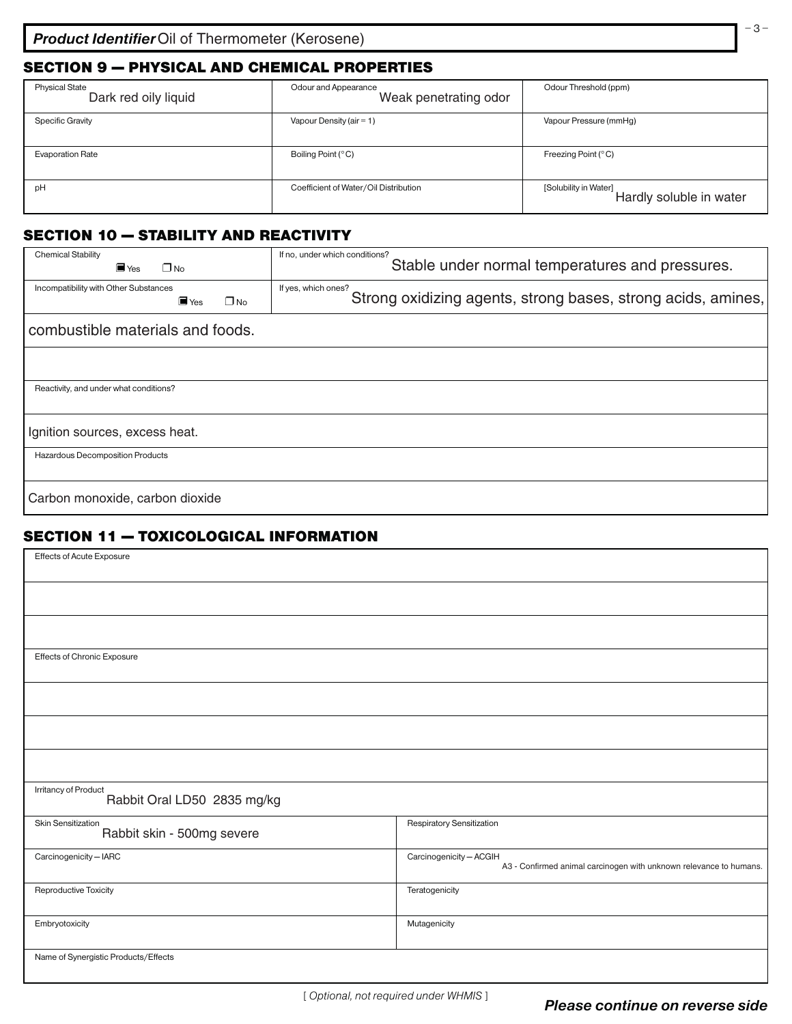# SECTION 9 — PHYSICAL AND CHEMICAL PROPERTIES

| <b>Physical State</b><br>Dark red oily liquid | Odour and Appearance<br>Weak penetrating odor | Odour Threshold (ppm)                            |
|-----------------------------------------------|-----------------------------------------------|--------------------------------------------------|
| <b>Specific Gravity</b>                       | Vapour Density (air = $1$ )                   | Vapour Pressure (mmHg)                           |
| <b>Evaporation Rate</b>                       | Boiling Point (°C)                            | Freezing Point (°C)                              |
| pH                                            | Coefficient of Water/Oil Distribution         | [Solubility in Water]<br>Hardly soluble in water |

# SECTION 10 — STABILITY AND REACTIVITY

| <b>Chemical Stability</b><br>$\blacksquare$ Yes<br>$\Box$ No                | If no, under which conditions?<br>Stable under normal temperatures and pressures.   |
|-----------------------------------------------------------------------------|-------------------------------------------------------------------------------------|
| Incompatibility with Other Substances<br>$\blacksquare$ Yes<br>$\square$ No | If yes, which ones?<br>Strong oxidizing agents, strong bases, strong acids, amines, |
| combustible materials and foods.                                            |                                                                                     |
|                                                                             |                                                                                     |
| Reactivity, and under what conditions?                                      |                                                                                     |
| Ignition sources, excess heat.                                              |                                                                                     |
| Hazardous Decomposition Products                                            |                                                                                     |
| Carbon monoxide, carbon dioxide                                             |                                                                                     |

# SECTION 11 — TOXICOLOGICAL INFORMATION

| Effects of Acute Exposure                           |                                                                                               |
|-----------------------------------------------------|-----------------------------------------------------------------------------------------------|
|                                                     |                                                                                               |
|                                                     |                                                                                               |
| Effects of Chronic Exposure                         |                                                                                               |
|                                                     |                                                                                               |
|                                                     |                                                                                               |
|                                                     |                                                                                               |
| Irritancy of Product<br>Rabbit Oral LD50 2835 mg/kg |                                                                                               |
| Skin Sensitization<br>Rabbit skin - 500mg severe    | Respiratory Sensitization                                                                     |
| Carcinogenicity - IARC                              | Carcinogenicity - ACGIH<br>A3 - Confirmed animal carcinogen with unknown relevance to humans. |
| Reproductive Toxicity                               | Teratogenicity                                                                                |
| Embryotoxicity                                      | Mutagenicity                                                                                  |
| Name of Synergistic Products/Effects                |                                                                                               |

[ Optional, not required under WHMIS ]

– 3 –